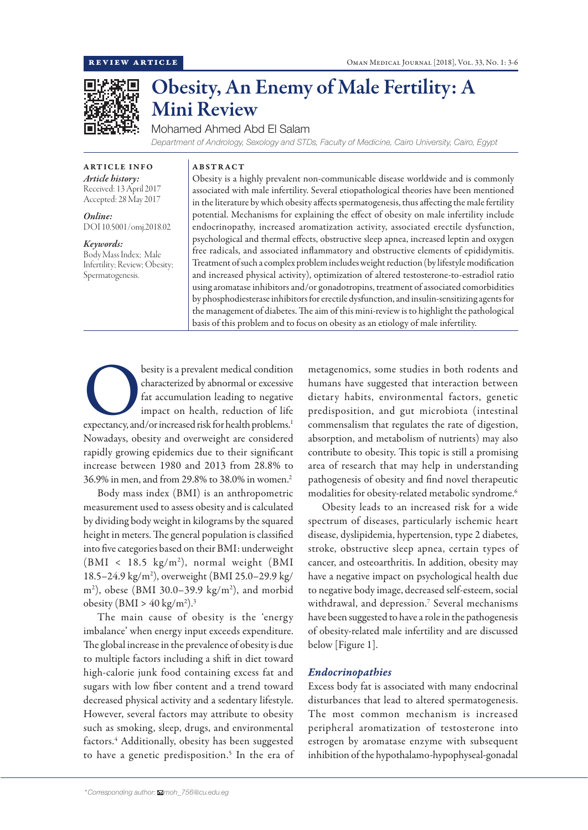

# Obesity, An Enemy of Male Fertility: A Mini Review

Mohamed Ahmed Abd El Salam

*Department of Andrology, Sexology and STDs, Faculty of Medicine, Cairo University, Cairo, Egypt*

ARTICLE INFO *Article history:*

ABSTRACT

Received: 13 April 2017 Accepted: 28 May 2017

*Online:* DOI 10.5001/omj.2018.02

*Keywords:* 

Body Mass Index; Male Infertility; Review; Obesity; Spermatogenesis.

Obesity is a highly prevalent non-communicable disease worldwide and is commonly associated with male infertility. Several etiopathological theories have been mentioned in the literature by which obesity affects spermatogenesis, thus affecting the male fertility potential. Mechanisms for explaining the effect of obesity on male infertility include endocrinopathy, increased aromatization activity, associated erectile dysfunction, psychological and thermal effects, obstructive sleep apnea, increased leptin and oxygen free radicals, and associated inflammatory and obstructive elements of epididymitis. Treatment of such a complex problem includes weight reduction (by lifestyle modification and increased physical activity), optimization of altered testosterone-to-estradiol ratio using aromatase inhibitors and/or gonadotropins, treatment of associated comorbidities by phosphodiesterase inhibitors for erectile dysfunction, and insulin-sensitizing agents for the management of diabetes. The aim of this mini-review is to highlight the pathological basis of this problem and to focus on obesity as an etiology of male infertility.

besity is a prevalent medical condition<br>
characterized by abnormal or excessive<br>
fat accumulation leading to negative<br>
impact on health, reduction of life<br>
expectancy, and/or increased risk for health problems.<sup>1</sup> characterized by abnormal or excessive fat accumulation leading to negative impact on health, reduction of life Nowadays, obesity and overweight are considered rapidly growing epidemics due to their significant increase between 1980 and 2013 from 28.8% to 36.9% in men, and from 29.8% to 38.0% in women.2

Body mass index (BMI) is an anthropometric measurement used to assess obesity and is calculated by dividing body weight in kilograms by the squared height in meters. The general population is classified into five categories based on their BMI: underweight (BMI < 18.5 kg/m2 ), normal weight (BMI 18.5–24.9 kg/m2 ), overweight (BMI 25.0–29.9 kg/ m2 ), obese (BMI 30.0–39.9 kg/m2 ), and morbid obesity  $(BMI > 40 \text{ kg/m}^2).$ <sup>3</sup>

The main cause of obesity is the 'energy imbalance' when energy input exceeds expenditure. The global increase in the prevalence of obesity is due to multiple factors including a shift in diet toward high-calorie junk food containing excess fat and sugars with low fiber content and a trend toward decreased physical activity and a sedentary lifestyle. However, several factors may attribute to obesity such as smoking, sleep, drugs, and environmental factors.4 Additionally, obesity has been suggested to have a genetic predisposition.<sup>5</sup> In the era of metagenomics, some studies in both rodents and humans have suggested that interaction between dietary habits, environmental factors, genetic predisposition, and gut microbiota (intestinal commensalism that regulates the rate of digestion, absorption, and metabolism of nutrients) may also contribute to obesity. This topic is still a promising area of research that may help in understanding pathogenesis of obesity and find novel therapeutic modalities for obesity-related metabolic syndrome.<sup>6</sup>

Obesity leads to an increased risk for a wide spectrum of diseases, particularly ischemic heart disease, dyslipidemia, hypertension, type 2 diabetes, stroke, obstructive sleep apnea, certain types of cancer, and osteoarthritis. In addition, obesity may have a negative impact on psychological health due to negative body image, decreased self-esteem, social withdrawal, and depression.7 Several mechanisms have been suggested to have a role in the pathogenesis of obesity-related male infertility and are discussed below [Figure 1].

# *Endocrinopathies*

Excess body fat is associated with many endocrinal disturbances that lead to altered spermatogenesis. The most common mechanism is increased peripheral aromatization of testosterone into estrogen by aromatase enzyme with subsequent inhibition of the hypothalamo-hypophyseal-gonadal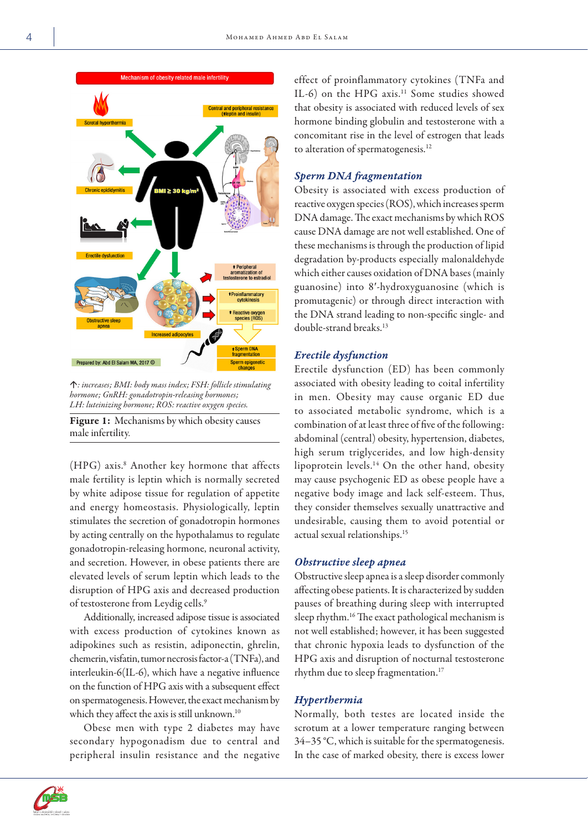

á*: increases; BMI: body mass index; FSH: follicle stimulating hormone; GnRH: gonadotropin-releasing hormones; LH: luteinizing hormone; ROS: reactive oxygen species.*

Figure 1: Mechanisms by which obesity causes male infertility.

(HPG) axis.8 Another key hormone that affects male fertility is leptin which is normally secreted by white adipose tissue for regulation of appetite and energy homeostasis. Physiologically, leptin stimulates the secretion of gonadotropin hormones by acting centrally on the hypothalamus to regulate gonadotropin-releasing hormone, neuronal activity, and secretion. However, in obese patients there are elevated levels of serum leptin which leads to the disruption of HPG axis and decreased production of testosterone from Leydig cells.<sup>9</sup>

Additionally, increased adipose tissue is associated with excess production of cytokines known as adipokines such as resistin, adiponectin, ghrelin, chemerin, visfatin, tumor necrosis factor-a (TNFa), and interleukin-6(IL-6), which have a negative influence on the function of HPG axis with a subsequent effect on spermatogenesis. However, the exact mechanism by which they affect the axis is still unknown.<sup>10</sup>

Obese men with type 2 diabetes may have secondary hypogonadism due to central and peripheral insulin resistance and the negative effect of proinflammatory cytokines (TNFa and IL-6) on the HPG axis.<sup>11</sup> Some studies showed that obesity is associated with reduced levels of sex hormone binding globulin and testosterone with a concomitant rise in the level of estrogen that leads to alteration of spermatogenesis.<sup>12</sup>

## *Sperm DNA fragmentation*

Obesity is associated with excess production of reactive oxygen species (ROS), which increases sperm DNA damage. The exact mechanisms by which ROS cause DNA damage are not well established. One of these mechanisms is through the production of lipid degradation by-products especially malonaldehyde which either causes oxidation of DNA bases (mainly guanosine) into 8′-hydroxyguanosine (which is promutagenic) or through direct interaction with the DNA strand leading to non-specific single- and double-strand breaks.<sup>13</sup>

## *Erectile dysfunction*

Erectile dysfunction (ED) has been commonly associated with obesity leading to coital infertility in men. Obesity may cause organic ED due to associated metabolic syndrome, which is a combination of at least three of five of the following: abdominal (central) obesity, hypertension, diabetes, high serum triglycerides, and low high-density lipoprotein levels.14 On the other hand, obesity may cause psychogenic ED as obese people have a negative body image and lack self-esteem. Thus, they consider themselves sexually unattractive and undesirable, causing them to avoid potential or actual sexual relationships.15

#### *Obstructive sleep apnea*

Obstructive sleep apnea is a sleep disorder commonly affecting obese patients. It is characterized by sudden pauses of breathing during sleep with interrupted sleep rhythm.<sup>16</sup> The exact pathological mechanism is not well established; however, it has been suggested that chronic hypoxia leads to dysfunction of the HPG axis and disruption of nocturnal testosterone rhythm due to sleep fragmentation.<sup>17</sup>

#### *Hyperthermia*

Normally, both testes are located inside the scrotum at a lower temperature ranging between 34–35 °C, which is suitable for the spermatogenesis. In the case of marked obesity, there is excess lower

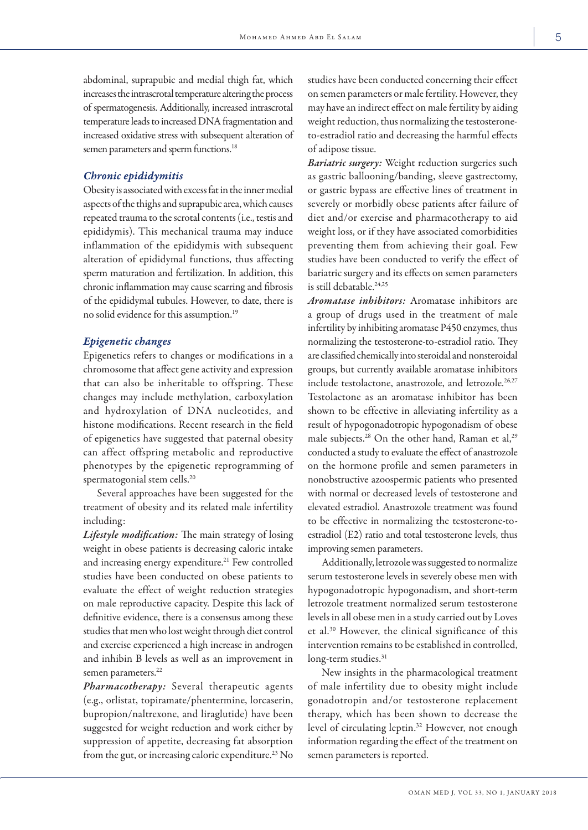abdominal, suprapubic and medial thigh fat, which increases the intrascrotal temperature altering the process of spermatogenesis. Additionally, increased intrascrotal temperature leads to increased DNA fragmentation and increased oxidative stress with subsequent alteration of semen parameters and sperm functions.<sup>18</sup>

#### *Chronic epididymitis*

Obesity is associated with excess fat in the inner medial aspects of the thighs and suprapubic area, which causes repeated trauma to the scrotal contents (i.e., testis and epididymis). This mechanical trauma may induce inflammation of the epididymis with subsequent alteration of epididymal functions, thus affecting sperm maturation and fertilization. In addition, this chronic inflammation may cause scarring and fibrosis of the epididymal tubules. However, to date, there is no solid evidence for this assumption.19

## *Epigenetic changes*

Epigenetics refers to changes or modifications in a chromosome that affect gene activity and expression that can also be inheritable to offspring. These changes may include methylation, carboxylation and hydroxylation of DNA nucleotides, and histone modifications. Recent research in the field of epigenetics have suggested that paternal obesity can affect offspring metabolic and reproductive phenotypes by the epigenetic reprogramming of spermatogonial stem cells.<sup>20</sup>

Several approaches have been suggested for the treatment of obesity and its related male infertility including:

*Lifestyle modification:* The main strategy of losing weight in obese patients is decreasing caloric intake and increasing energy expenditure.<sup>21</sup> Few controlled studies have been conducted on obese patients to evaluate the effect of weight reduction strategies on male reproductive capacity. Despite this lack of definitive evidence, there is a consensus among these studies that men who lost weight through diet control and exercise experienced a high increase in androgen and inhibin B levels as well as an improvement in semen parameters.<sup>22</sup>

*Pharmacotherapy:* Several therapeutic agents (e.g., orlistat, topiramate/phentermine, lorcaserin, bupropion/naltrexone, and liraglutide) have been suggested for weight reduction and work either by suppression of appetite, decreasing fat absorption from the gut, or increasing caloric expenditure.<sup>23</sup> No studies have been conducted concerning their effect on semen parameters or male fertility. However, they may have an indirect effect on male fertility by aiding weight reduction, thus normalizing the testosteroneto-estradiol ratio and decreasing the harmful effects of adipose tissue.

*Bariatric surgery:* Weight reduction surgeries such as gastric ballooning/banding, sleeve gastrectomy, or gastric bypass are effective lines of treatment in severely or morbidly obese patients after failure of diet and/or exercise and pharmacotherapy to aid weight loss, or if they have associated comorbidities preventing them from achieving their goal. Few studies have been conducted to verify the effect of bariatric surgery and its effects on semen parameters is still debatable.<sup>24,25</sup>

*Aromatase inhibitors:* Aromatase inhibitors are a group of drugs used in the treatment of male infertility by inhibiting aromatase P450 enzymes, thus normalizing the testosterone-to-estradiol ratio. They are classified chemically into steroidal and nonsteroidal groups, but currently available aromatase inhibitors include testolactone, anastrozole, and letrozole.<sup>26,27</sup> Testolactone as an aromatase inhibitor has been shown to be effective in alleviating infertility as a result of hypogonadotropic hypogonadism of obese male subjects.<sup>28</sup> On the other hand, Raman et al,<sup>29</sup> conducted a study to evaluate the effect of anastrozole on the hormone profile and semen parameters in nonobstructive azoospermic patients who presented with normal or decreased levels of testosterone and elevated estradiol. Anastrozole treatment was found to be effective in normalizing the testosterone-toestradiol (E2) ratio and total testosterone levels, thus improving semen parameters.

Additionally, letrozole was suggested to normalize serum testosterone levels in severely obese men with hypogonadotropic hypogonadism, and short-term letrozole treatment normalized serum testosterone levels in all obese men in a study carried out by Loves et al.30 However, the clinical significance of this intervention remains to be established in controlled, long-term studies.<sup>31</sup>

New insights in the pharmacological treatment of male infertility due to obesity might include gonadotropin and/or testosterone replacement therapy, which has been shown to decrease the level of circulating leptin.32 However, not enough information regarding the effect of the treatment on semen parameters is reported.